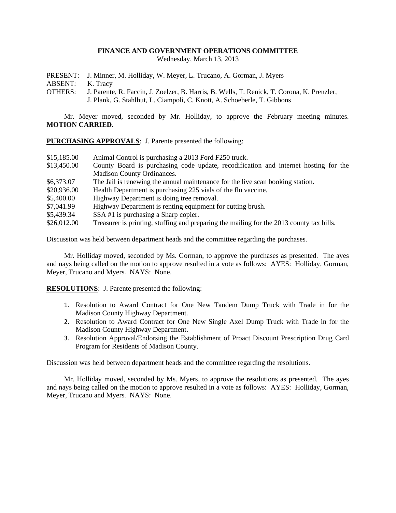## **FINANCE AND GOVERNMENT OPERATIONS COMMITTEE**

Wednesday, March 13, 2013

PRESENT: J. Minner, M. Holliday, W. Meyer, L. Trucano, A. Gorman, J. Myers

ABSENT: K. Tracy

OTHERS: J. Parente, R. Faccin, J. Zoelzer, B. Harris, B. Wells, T. Renick, T. Corona, K. Prenzler, J. Plank, G. Stahlhut, L. Ciampoli, C. Knott, A. Schoeberle, T. Gibbons

Mr. Meyer moved, seconded by Mr. Holliday, to approve the February meeting minutes. **MOTION CARRIED.**

**PURCHASING APPROVALS**: J. Parente presented the following:

| \$15,185.00 | Animal Control is purchasing a 2013 Ford F250 truck.                                     |
|-------------|------------------------------------------------------------------------------------------|
| \$13,450.00 | County Board is purchasing code update, recodification and internet hosting for the      |
|             | Madison County Ordinances.                                                               |
| \$6,373.07  | The Jail is renewing the annual maintenance for the live scan booking station.           |
| \$20,936.00 | Health Department is purchasing 225 vials of the flu vaccine.                            |
| \$5,400.00  | Highway Department is doing tree removal.                                                |
| \$7,041.99  | Highway Department is renting equipment for cutting brush.                               |
| \$5,439.34  | SSA #1 is purchasing a Sharp copier.                                                     |
| \$26,012.00 | Treasurer is printing, stuffing and preparing the mailing for the 2013 county tax bills. |

Discussion was held between department heads and the committee regarding the purchases.

Mr. Holliday moved, seconded by Ms. Gorman, to approve the purchases as presented. The ayes and nays being called on the motion to approve resulted in a vote as follows: AYES: Holliday, Gorman, Meyer, Trucano and Myers. NAYS: None.

**RESOLUTIONS**: J. Parente presented the following:

- 1. Resolution to Award Contract for One New Tandem Dump Truck with Trade in for the Madison County Highway Department.
- 2. Resolution to Award Contract for One New Single Axel Dump Truck with Trade in for the Madison County Highway Department.
- 3. Resolution Approval/Endorsing the Establishment of Proact Discount Prescription Drug Card Program for Residents of Madison County.

Discussion was held between department heads and the committee regarding the resolutions.

Mr. Holliday moved, seconded by Ms. Myers, to approve the resolutions as presented. The ayes and nays being called on the motion to approve resulted in a vote as follows: AYES: Holliday, Gorman, Meyer, Trucano and Myers. NAYS: None.